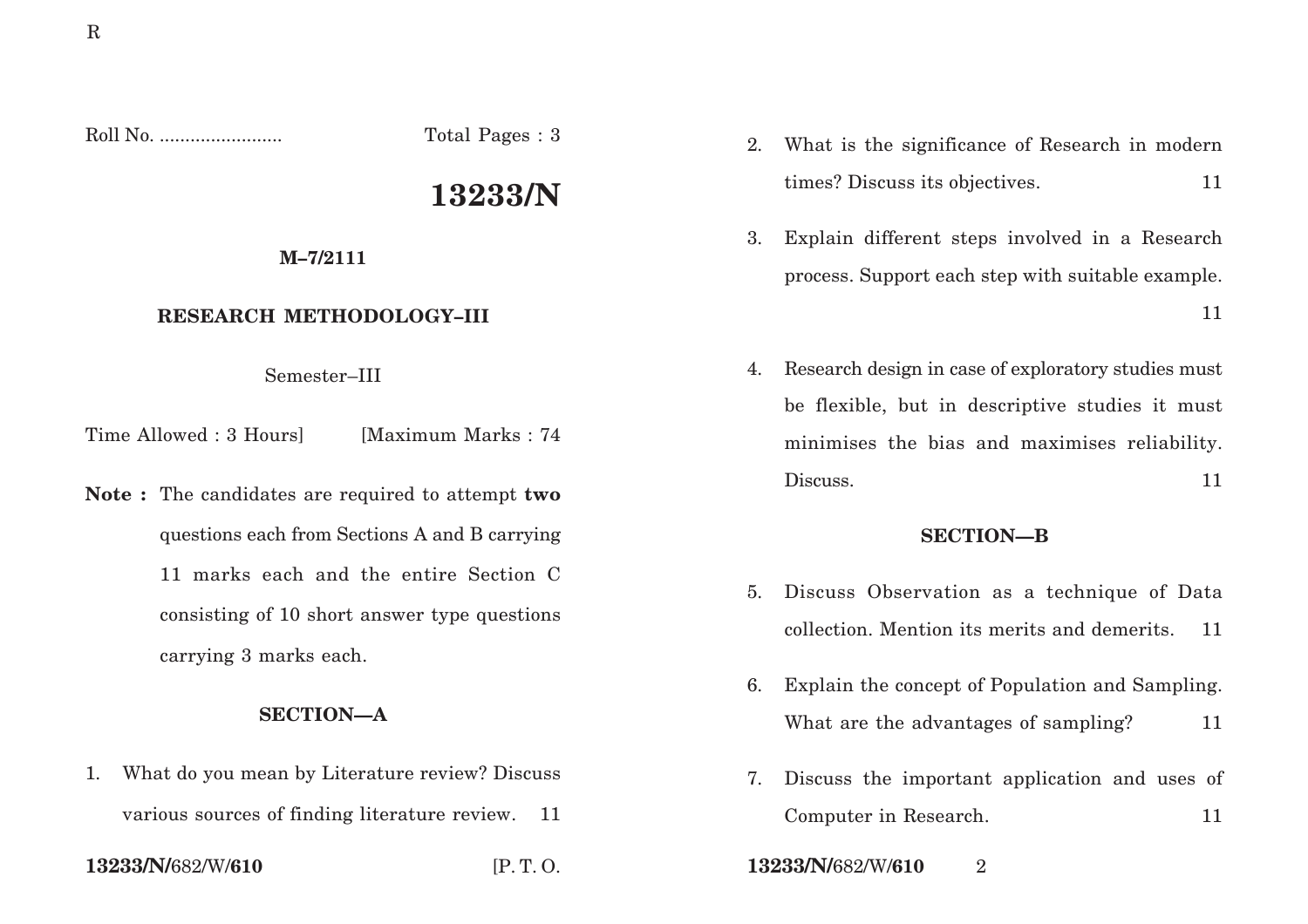Roll No. ........................ Total Pages : 3

# **13233/N**

### **M–7/2111**

# **RESEARCH METHODOLOGY–III**

# Semester–III

Time Allowed : 3 Hours [Maximum Marks : 74]

**Note :** The candidates are required to attempt **two** questions each from Sections A and B carrying 11 marks each and the entire Section C consisting of 10 short answer type questions carrying 3 marks each.

# **SECTION—A**

- 1. What do you mean by Literature review? Discuss
	- various sources of finding literature review. 11

- 2. What is the significance of Research in modern times? Discuss its objectives. 11
- 3. Explain different steps involved in a Research process. Support each step with suitable example. 11
- 4. Research design in case of exploratory studies must be flexible, but in descriptive studies it must minimises the bias and maximises reliability. Discuss. 11

## **SECTION—B**

- 5. Discuss Observation as a technique of Data collection. Mention its merits and demerits. 11
- 6. Explain the concept of Population and Sampling. What are the advantages of sampling? 11
- 7. Discuss the important application and uses of Computer in Research. 11
- **13233/N/**682/W/**610** [P. T. O. **13233/N/**682/W/**610** 2